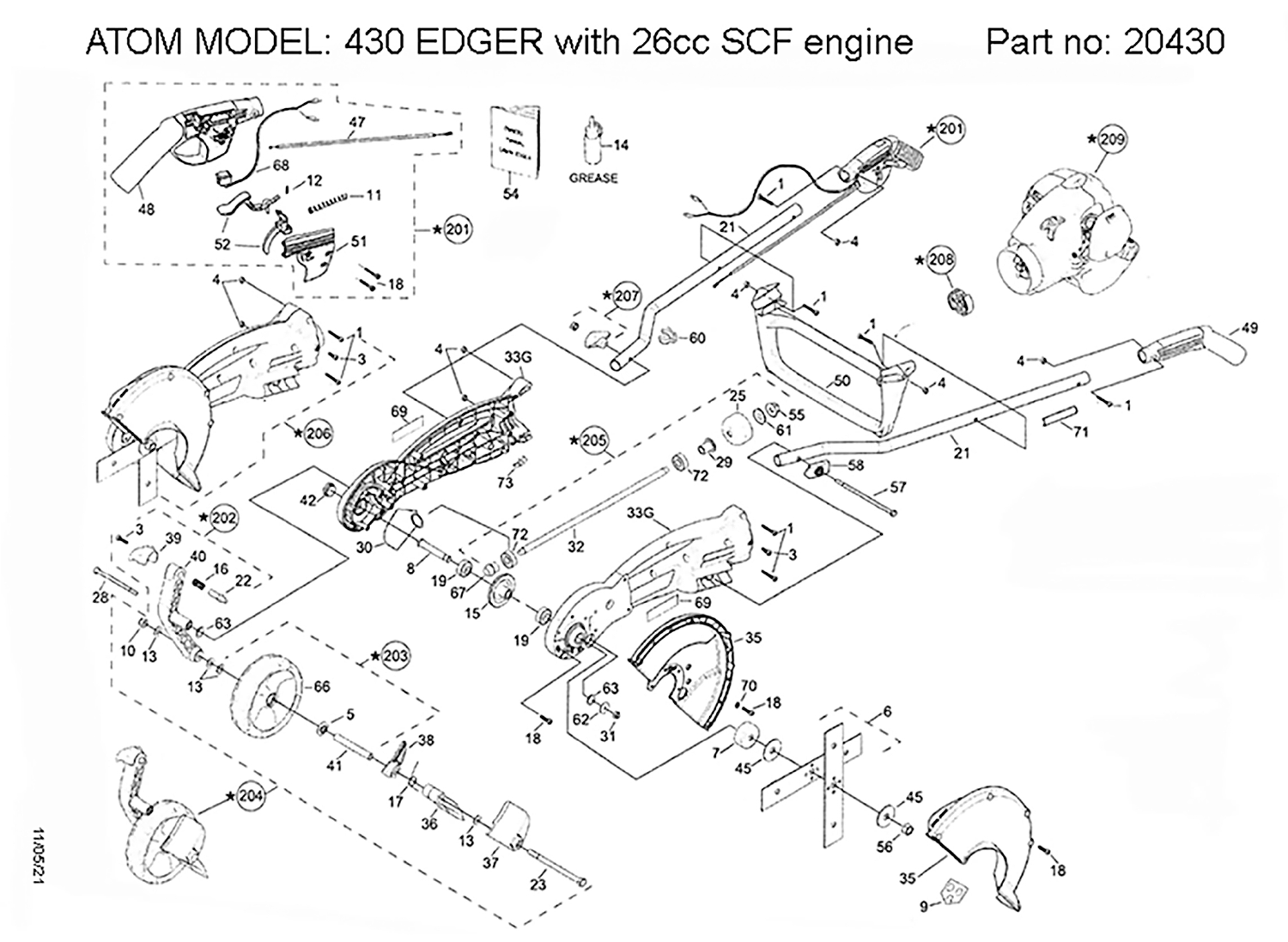## ATOM MODEL: 430 EDGER with 26cc SCF engine Part no: 20430



11/05/21